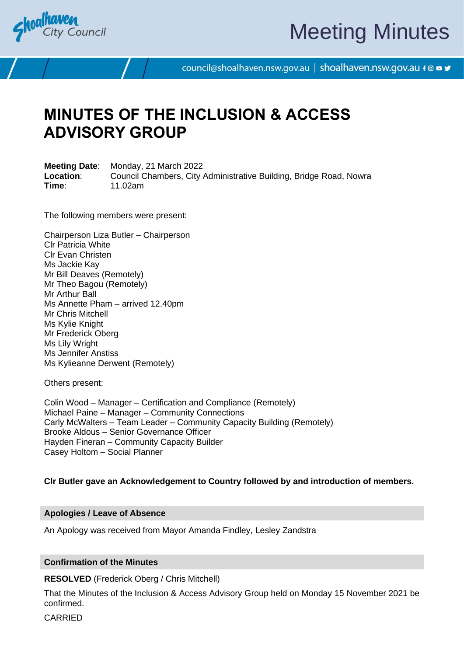

# Meeting Minutes

council@shoalhaven.nsw.gov.au | shoalhaven.nsw.gov.au f @ ■ y

### **MINUTES OF THE INCLUSION & ACCESS ADVISORY GROUP**

**Meeting Date**: Monday, 21 March 2022 **Location**: Council Chambers, City Administrative Building, Bridge Road, Nowra **Time**: 11.02am

The following members were present:

Chairperson Liza Butler – Chairperson Clr Patricia White Clr Evan Christen Ms Jackie Kay Mr Bill Deaves (Remotely) Mr Theo Bagou (Remotely) Mr Arthur Ball Ms Annette Pham – arrived 12.40pm Mr Chris Mitchell Ms Kylie Knight Mr Frederick Oberg Ms Lily Wright Ms Jennifer Anstiss Ms Kylieanne Derwent (Remotely)

Others present:

Colin Wood – Manager – Certification and Compliance (Remotely) Michael Paine – Manager – Community Connections Carly McWalters – Team Leader – Community Capacity Building (Remotely) Brooke Aldous – Senior Governance Officer Hayden Fineran – Community Capacity Builder Casey Holtom – Social Planner

**Clr Butler gave an Acknowledgement to Country followed by and introduction of members.**

### **Apologies / Leave of Absence**

An Apology was received from Mayor Amanda Findley, Lesley Zandstra

### **Confirmation of the Minutes**

**RESOLVED** (Frederick Oberg / Chris Mitchell)

That the Minutes of the Inclusion & Access Advisory Group held on Monday 15 November 2021 be confirmed.

CARRIED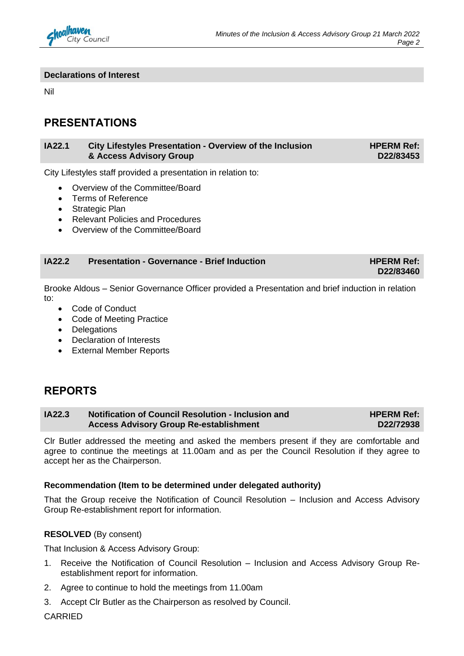

**D22/83460**

### **Declarations of Interest**

Nil

### **PRESENTATIONS**

#### **IA22.1 City Lifestyles Presentation - Overview of the Inclusion & Access Advisory Group HPERM Ref: D22/83453**

City Lifestyles staff provided a presentation in relation to:

- Overview of the Committee/Board
- Terms of Reference
- Strategic Plan
- Relevant Policies and Procedures
- Overview of the Committee/Board

### **IA22.2 Presentation - Governance - Brief Induction HPERM Ref: HPERM Ref:**

Brooke Aldous – Senior Governance Officer provided a Presentation and brief induction in relation to:

- Code of Conduct
- Code of Meeting Practice
- Delegations
- Declaration of Interests
- External Member Reports

### **REPORTS**

| <b>IA22.3</b> | <b>Notification of Council Resolution - Inclusion and</b> | <b>HPERM Ref:</b> |
|---------------|-----------------------------------------------------------|-------------------|
|               | <b>Access Advisory Group Re-establishment</b>             | D22/72938         |

Clr Butler addressed the meeting and asked the members present if they are comfortable and agree to continue the meetings at 11.00am and as per the Council Resolution if they agree to accept her as the Chairperson.

### **Recommendation (Item to be determined under delegated authority)**

That the Group receive the Notification of Council Resolution – Inclusion and Access Advisory Group Re-establishment report for information.

### **RESOLVED** (By consent)

That Inclusion & Access Advisory Group:

- 1. Receive the Notification of Council Resolution Inclusion and Access Advisory Group Reestablishment report for information.
- 2. Agree to continue to hold the meetings from 11.00am
- 3. Accept Clr Butler as the Chairperson as resolved by Council.

**CARRIED**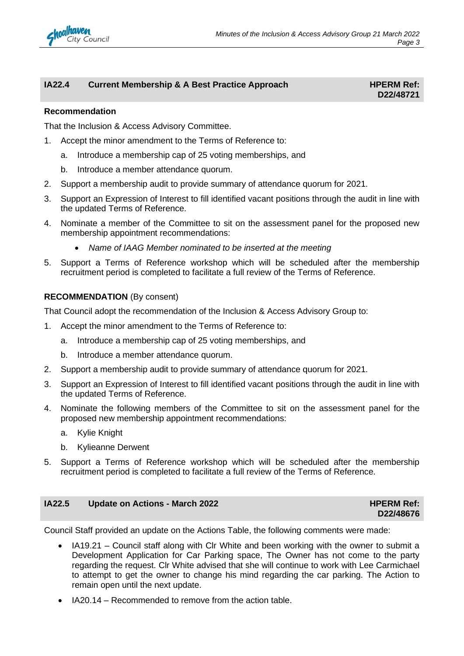

### **IA22.4 Current Membership & A Best Practice Approach HPERM Ref:**

## **D22/48721**

### **Recommendation**

That the Inclusion & Access Advisory Committee.

- 1. Accept the minor amendment to the Terms of Reference to:
	- a. Introduce a membership cap of 25 voting memberships, and
	- b. Introduce a member attendance quorum.
- 2. Support a membership audit to provide summary of attendance quorum for 2021.
- 3. Support an Expression of Interest to fill identified vacant positions through the audit in line with the updated Terms of Reference.
- 4. Nominate a member of the Committee to sit on the assessment panel for the proposed new membership appointment recommendations:
	- *Name of IAAG Member nominated to be inserted at the meeting*
- 5. Support a Terms of Reference workshop which will be scheduled after the membership recruitment period is completed to facilitate a full review of the Terms of Reference.

### **RECOMMENDATION** (By consent)

That Council adopt the recommendation of the Inclusion & Access Advisory Group to:

- 1. Accept the minor amendment to the Terms of Reference to:
	- a. Introduce a membership cap of 25 voting memberships, and
	- b. Introduce a member attendance quorum.
- 2. Support a membership audit to provide summary of attendance quorum for 2021.
- 3. Support an Expression of Interest to fill identified vacant positions through the audit in line with the updated Terms of Reference.
- 4. Nominate the following members of the Committee to sit on the assessment panel for the proposed new membership appointment recommendations:
	- a. Kylie Knight
	- b. Kylieanne Derwent
- 5. Support a Terms of Reference workshop which will be scheduled after the membership recruitment period is completed to facilitate a full review of the Terms of Reference.

### **IA22.5 Update on Actions - March 2022 HPERM Ref: HPERM Ref:**

### **D22/48676**

Council Staff provided an update on the Actions Table, the following comments were made:

- IA19.21 Council staff along with Clr White and been working with the owner to submit a Development Application for Car Parking space, The Owner has not come to the party regarding the request. Clr White advised that she will continue to work with Lee Carmichael to attempt to get the owner to change his mind regarding the car parking. The Action to remain open until the next update.
- IA20.14 Recommended to remove from the action table.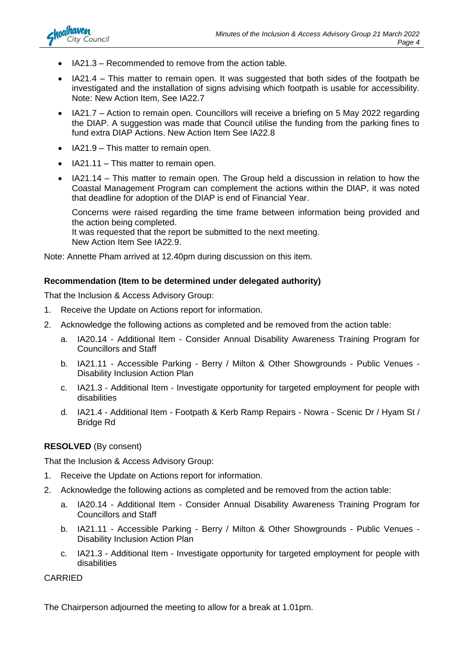

- IA21.3 Recommended to remove from the action table.
- IA21.4 This matter to remain open. It was suggested that both sides of the footpath be investigated and the installation of signs advising which footpath is usable for accessibility. Note: New Action Item, See IA22.7
- IA21.7 Action to remain open. Councillors will receive a briefing on 5 May 2022 regarding the DIAP. A suggestion was made that Council utilise the funding from the parking fines to fund extra DIAP Actions. New Action Item See IA22.8
- IA21.9 This matter to remain open.
- IA21.11 This matter to remain open.
- IA21.14 This matter to remain open. The Group held a discussion in relation to how the Coastal Management Program can complement the actions within the DIAP, it was noted that deadline for adoption of the DIAP is end of Financial Year.

Concerns were raised regarding the time frame between information being provided and the action being completed. It was requested that the report be submitted to the next meeting.

New Action Item See IA22.9.

Note: Annette Pham arrived at 12.40pm during discussion on this item.

### **Recommendation (Item to be determined under delegated authority)**

That the Inclusion & Access Advisory Group:

- 1. Receive the Update on Actions report for information.
- 2. Acknowledge the following actions as completed and be removed from the action table:
	- a. IA20.14 Additional Item Consider Annual Disability Awareness Training Program for Councillors and Staff
	- b. IA21.11 Accessible Parking Berry / Milton & Other Showgrounds Public Venues Disability Inclusion Action Plan
	- c. IA21.3 Additional Item Investigate opportunity for targeted employment for people with disabilities
	- d. IA21.4 Additional Item Footpath & Kerb Ramp Repairs Nowra Scenic Dr / Hyam St / Bridge Rd

### **RESOLVED** (By consent)

That the Inclusion & Access Advisory Group:

- 1. Receive the Update on Actions report for information.
- 2. Acknowledge the following actions as completed and be removed from the action table:
	- a. IA20.14 Additional Item Consider Annual Disability Awareness Training Program for Councillors and Staff
	- b. IA21.11 Accessible Parking Berry / Milton & Other Showgrounds Public Venues Disability Inclusion Action Plan
	- c. IA21.3 Additional Item Investigate opportunity for targeted employment for people with disabilities

CARRIED

The Chairperson adjourned the meeting to allow for a break at 1.01pm.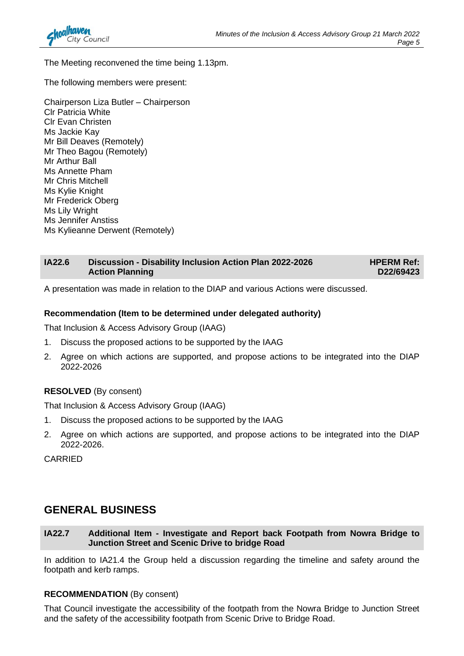

The Meeting reconvened the time being 1.13pm.

The following members were present:

Chairperson Liza Butler – Chairperson Clr Patricia White Clr Evan Christen Ms Jackie Kay Mr Bill Deaves (Remotely) Mr Theo Bagou (Remotely) Mr Arthur Ball Ms Annette Pham Mr Chris Mitchell Ms Kylie Knight Mr Frederick Oberg Ms Lily Wright Ms Jennifer Anstiss Ms Kylieanne Derwent (Remotely)

| <b>IA22.6</b> | <b>Discussion - Disability Inclusion Action Plan 2022-2026</b> | <b>HPERM Ref:</b> |
|---------------|----------------------------------------------------------------|-------------------|
|               | <b>Action Planning</b>                                         | D22/69423         |

A presentation was made in relation to the DIAP and various Actions were discussed.

### **Recommendation (Item to be determined under delegated authority)**

That Inclusion & Access Advisory Group (IAAG)

- 1. Discuss the proposed actions to be supported by the IAAG
- 2. Agree on which actions are supported, and propose actions to be integrated into the DIAP 2022-2026

### **RESOLVED** (By consent)

That Inclusion & Access Advisory Group (IAAG)

- 1. Discuss the proposed actions to be supported by the IAAG
- 2. Agree on which actions are supported, and propose actions to be integrated into the DIAP 2022-2026.

CARRIED

### **GENERAL BUSINESS**

### **IA22.7 Additional Item - Investigate and Report back Footpath from Nowra Bridge to Junction Street and Scenic Drive to bridge Road**

In addition to IA21.4 the Group held a discussion regarding the timeline and safety around the footpath and kerb ramps.

### **RECOMMENDATION** (By consent)

That Council investigate the accessibility of the footpath from the Nowra Bridge to Junction Street and the safety of the accessibility footpath from Scenic Drive to Bridge Road.